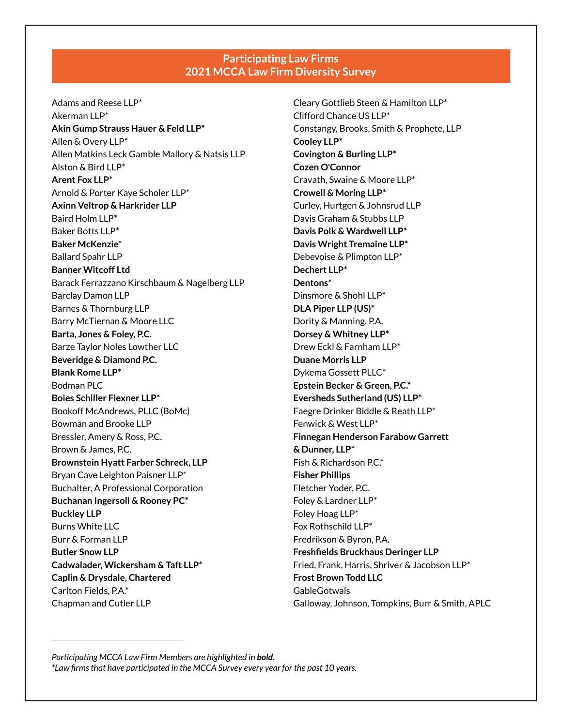## **Participating Law Firms 2021 MCCA Law Firm Diversity Survey**

Adams and Reese LLP\* Akerman LLP\* **Akin Gump Strauss Hauer & Feld LLP\*** Allen & Overy LLP\* Allen Matkins Leck Gamble Mallory & Natsis LLP Alston & Bird LLP\* **Arent Fox LLP\*** Arnold & Porter Kaye Scholer LLP\* **Axinn Veltrop & Harkrider LLP** Baird Holm LLP\* Baker Botts LLP\* **Baker McKenzie\*** Ballard Spahr LLP **Banner Witcoff Ltd** Barack Ferrazzano Kirschbaum & Nagelberg LLP Barclay Damon LLP Barnes & Thornburg LLP Barry McTiernan & Moore LLC **Barta, Jones & Foley, P.C.** Barze Taylor Noles Lowther LLC **Beveridge & Diamond P.C. Blank Rome LLP\*** Bodman PLC **Boies Schiller Flexner LLP\*** Bookoff McAndrews, PLLC (BoMc) Bowman and Brooke LLP Bressler, Amery & Ross, P.C. Brown & James, P.C. **Brownstein Hyatt Farber Schreck, LLP** Bryan Cave Leighton Paisner LLP\* Buchalter, A Professional Corporation **Buchanan Ingersoll & Rooney PC\* Buckley LLP** Burns White LLC Burr & Forman LLP **Butler Snow LLP Cadwalader, Wickersham & Taft LLP\* Caplin & Drysdale, Chartered** Carlton Fields, P.A.\* Chapman and Cutler LLP

Cleary Gottlieb Steen & Hamilton LLP\* Clifford Chance US LLP\* Constangy, Brooks, Smith & Prophete, LLP **Cooley LLP\* Covington & Burling LLP\* Cozen O'Connor** Cravath, Swaine & Moore LLP\* **Crowell & Moring LLP\*** Curley, Hurtgen & Johnsrud LLP Davis Graham & Stubbs LLP **Davis Polk & Wardwell LLP\* Davis Wright Tremaine LLP\*** Debevoise & Plimpton LLP\* **Dechert LLP\* Dentons\*** Dinsmore & Shohl LLP\* **DLA Piper LLP (US)\*** Dority & Manning, P.A. **Dorsey & Whitney LLP\*** Drew Eckl & Farnham LLP\* **Duane Morris LLP** Dykema Gossett PLLC\* **Epstein Becker & Green, P.C.\* Eversheds Sutherland (US) LLP\*** Faegre Drinker Biddle & Reath LLP\* Fenwick & West LLP\* **Finnegan Henderson Farabow Garrett & Dunner, LLP\***  Fish & Richardson P.C.\* **Fisher Phillips** Fletcher Yoder, P.C. Foley & Lardner LLP\* Foley Hoag LLP\* Fox Rothschild LLP\* Fredrikson & Byron, P.A. **Freshfields Bruckhaus Deringer LLP** Fried, Frank, Harris, Shriver & Jacobson LLP\* **Frost Brown Todd LLC GableGotwals** Galloway, Johnson, Tompkins, Burr & Smith, APLC

*Participating MCCA Law Firm Members are highlighted in bold. \*Law firms that have participated in the MCCA Survey every year for the past 10 years.*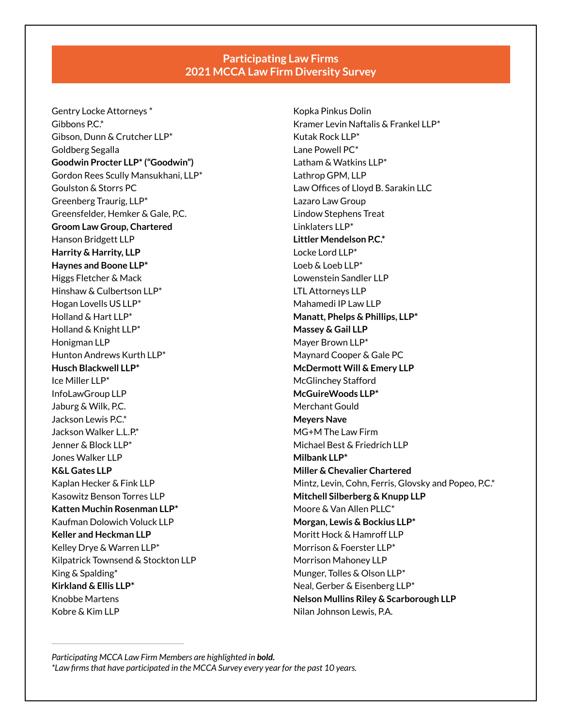## **Participating Law Firms 2021 MCCA Law Firm Diversity Survey**

Gentry Locke Attorneys \* Gibbons  $PC^*$ Gibson, Dunn & Crutcher LLP\* Goldberg Segalla **Goodwin Procter LLP\* ("Goodwin")** Gordon Rees Scully Mansukhani, LLP\* Goulston & Storrs PC Greenberg Traurig, LLP\* Greensfelder, Hemker & Gale, P.C. **Groom Law Group, Chartered** Hanson Bridgett LLP **Harrity & Harrity, LLP Haynes and Boone LLP\***  Higgs Fletcher & Mack Hinshaw & Culbertson LLP\* Hogan Lovells US LLP\* Holland & Hart LLP\* Holland & Knight LLP\* Honigman LLP Hunton Andrews Kurth LLP\* **Husch Blackwell LLP\*** Ice Miller LLP\* InfoLawGroup LLP Jaburg & Wilk, P.C. Jackson Lewis P.C.\* Jackson Walker L.L.P.\* Jenner & Block LLP\* Jones Walker LLP **K&L Gates LLP** Kaplan Hecker & Fink LLP Kasowitz Benson Torres LLP **Katten Muchin Rosenman LLP\*** Kaufman Dolowich Voluck LLP **Keller and Heckman LLP** Kelley Drye & Warren LLP\* Kilpatrick Townsend & Stockton LLP King & Spalding\* **Kirkland & Ellis LLP\*** Knobbe Martens Kobre & Kim LLP

Kopka Pinkus Dolin Kramer Levin Naftalis & Frankel LLP\* Kutak Rock LLP\* Lane Powell PC\* Latham & Watkins LLP\* Lathrop GPM, LLP Law Offices of Lloyd B. Sarakin LLC Lazaro Law Group Lindow Stephens Treat Linklaters LLP\* **Littler Mendelson P.C.\***  Locke Lord LLP\* Loeb & Loeb LLP\* Lowenstein Sandler LLP LTL Attorneys LLP Mahamedi IP Law LLP **Manatt, Phelps & Phillips, LLP\* Massey & Gail LLP** Mayer Brown LLP\* Maynard Cooper & Gale PC **McDermott Will & Emery LLP**  McGlinchey Stafford **McGuireWoods LLP\*** Merchant Gould **Meyers Nave** MG+M The Law Firm Michael Best & Friedrich LLP **Milbank LLP\* Miller & Chevalier Chartered**  Mintz, Levin, Cohn, Ferris, Glovsky and Popeo, P.C.\* **Mitchell Silberberg & Knupp LLP** Moore & Van Allen PLLC\* **Morgan, Lewis & Bockius LLP\***  Moritt Hock & Hamroff LLP Morrison & Foerster LLP\* Morrison Mahoney LLP Munger, Tolles & Olson LLP\* Neal, Gerber & Eisenberg LLP\* **Nelson Mullins Riley & Scarborough LLP** Nilan Johnson Lewis, P.A.

*Participating MCCA Law Firm Members are highlighted in bold. \*Law firms that have participated in the MCCA Survey every year for the past 10 years.*